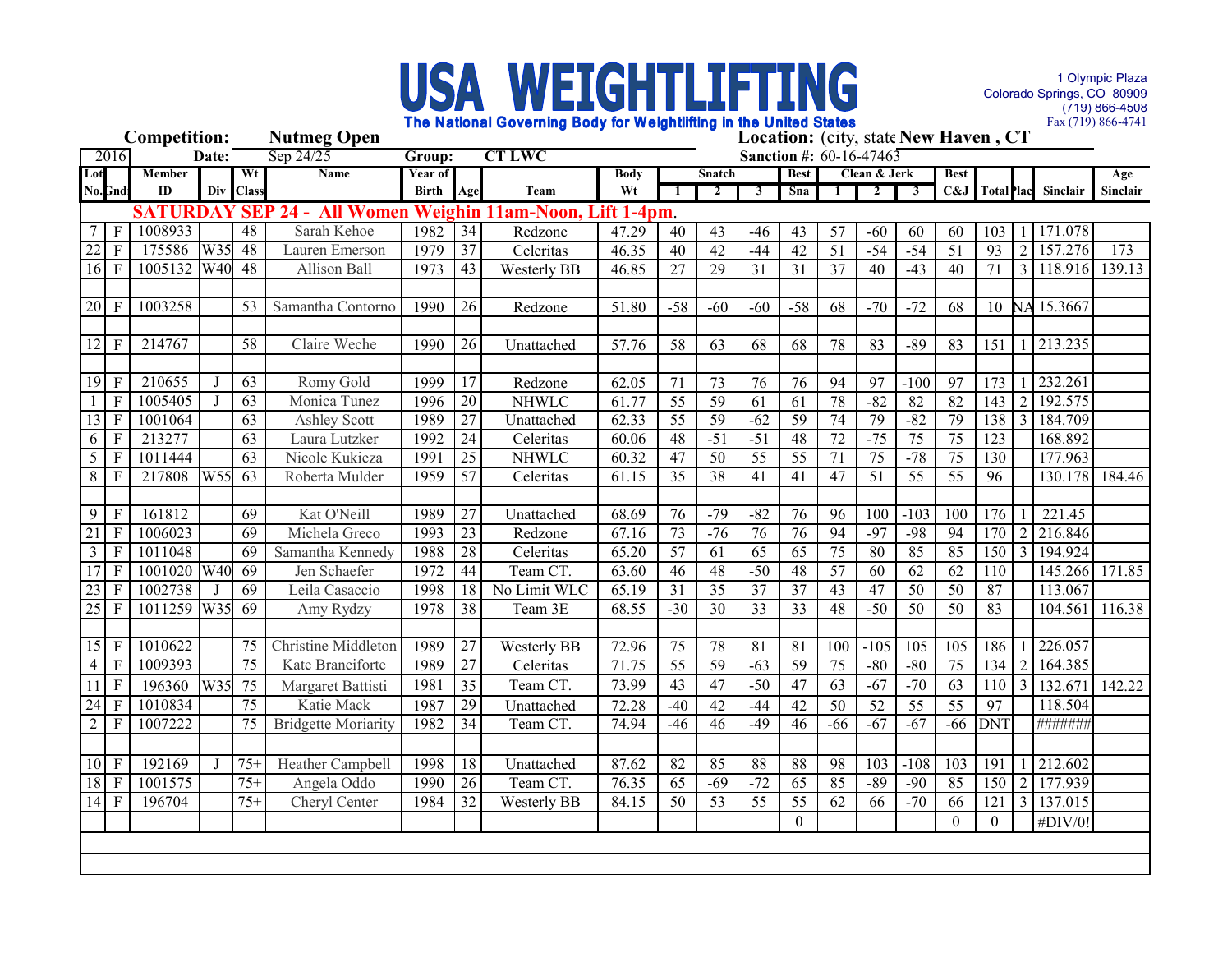

1 Olympic Plaza Colorado Springs, CO 80909 (719) 866-4508 Fax (719) 866-4741

| <b>Competition:</b><br><b>Nutmeg Open</b> |                              |                 |     |                 |                                             |              |                 |                        | Location: (city, state New Haven, CT |                 |                         |                         |                 |                 |                 |                         |                  |                 |                |                         |                 |  |
|-------------------------------------------|------------------------------|-----------------|-----|-----------------|---------------------------------------------|--------------|-----------------|------------------------|--------------------------------------|-----------------|-------------------------|-------------------------|-----------------|-----------------|-----------------|-------------------------|------------------|-----------------|----------------|-------------------------|-----------------|--|
|                                           | Sep $24/25$<br>2016<br>Date: |                 |     |                 | <b>CT LWC</b><br>Group:                     |              |                 |                        |                                      |                 | Sanction #: 60-16-47463 |                         |                 |                 |                 |                         |                  |                 |                |                         |                 |  |
| Lot                                       |                              | Member          |     | Wt              | Name                                        | Year of      |                 |                        | <b>Body</b>                          |                 | Snatch                  |                         | <b>Best</b>     |                 | Clean & Jerk    |                         | <b>Best</b>      |                 |                |                         | Age             |  |
|                                           | No.Gnd                       | ${\bf ID}$      | Div | <b>Class</b>    |                                             | <b>Birth</b> | Age             | Team                   | Wt                                   |                 | $\overline{2}$          | $\overline{\mathbf{3}}$ | Sna             |                 | $\mathbf{2}$    | $\overline{\mathbf{3}}$ | C&J              |                 |                | Total lac Sinclair      | <b>Sinclair</b> |  |
|                                           |                              | <b>SATURDAY</b> |     |                 | <b>All Women Weighin</b><br><b>SEP 24 -</b> |              |                 | 11am-Noon, Lift 1-4pm. |                                      |                 |                         |                         |                 |                 |                 |                         |                  |                 |                |                         |                 |  |
| 7                                         | $\overline{\mathsf{F}}$      | 1008933         |     | 48              | Sarah Kehoe                                 | 1982         | 34              | Redzone                | 47.29                                | 40              | 43                      | $-46$                   | 43              | $\overline{57}$ | $-60$           | 60                      | 60               | 103             |                | 171.078                 |                 |  |
| $22$ F                                    |                              | 175586          | W35 | 48              | Lauren Emerson                              | 1979         | 37              | Celeritas              | 46.35                                | $\overline{40}$ | 42                      | $-44$                   | 42              | $\overline{51}$ | $-54$           | $-54$                   | 51               | 93              | $\overline{2}$ | 157.276                 | 173             |  |
| $16$ F                                    |                              | 1005132         | W40 | 48              | <b>Allison Ball</b>                         | 1973         | $\overline{43}$ | Westerly BB            | 46.85                                | $\overline{27}$ | $\overline{29}$         | 31                      | 31              | $\overline{37}$ | $\overline{40}$ | $-43$                   | 40               | $\overline{71}$ | $\overline{3}$ | 118.916                 | 139.13          |  |
|                                           |                              |                 |     |                 |                                             |              |                 |                        |                                      |                 |                         |                         |                 |                 |                 |                         |                  |                 |                |                         |                 |  |
| $20$ F                                    |                              | 1003258         |     | 53              | Samantha Contorno                           | 1990         | 26              | Redzone                | 51.80                                | $-58$           | $-60$                   | $-60$                   | $-58$           | 68              | $-70$           | $-72$                   | 68               |                 |                | 10 NA 15.3667           |                 |  |
|                                           |                              |                 |     |                 |                                             |              |                 |                        |                                      |                 |                         |                         |                 |                 |                 |                         |                  |                 |                |                         |                 |  |
| $12$ F                                    |                              | 214767          |     | $\overline{58}$ | Claire Weche                                | 1990         | 26              | Unattached             | 57.76                                | 58              | 63                      | 68                      | 68              | 78              | 83              | $-89$                   | 83               | 151             |                | 1 213.235               |                 |  |
|                                           |                              |                 |     |                 |                                             |              |                 |                        |                                      |                 |                         |                         |                 |                 |                 |                         |                  |                 |                |                         |                 |  |
| $19$ F                                    |                              | 210655          |     | 63              | Romy Gold                                   | 1999         | $\overline{17}$ | Redzone                | 62.05                                | 71              | 73                      | 76                      | 76              | 94              | 97              | $-100$                  | 97               | 173             |                | 232.261                 |                 |  |
|                                           | $\overline{F}$               | 1005405         |     | 63              | Monica Tunez                                | 1996         | 20              | <b>NHWLC</b>           | 61.77                                | 55              | 59                      | 61                      | 61              | 78              | $-82$           | 82                      | $\overline{82}$  | 143             | $\overline{2}$ | 192.575                 |                 |  |
| $13 \mid \overline{F}$                    |                              | 1001064         |     | 63              | <b>Ashley Scott</b>                         | 1989         | 27              | Unattached             | 62.33                                | 55              | 59                      | $-62$                   | 59              | 74              | 79              | $-82$                   | 79               | 138             |                | 184.709                 |                 |  |
| 6                                         | $\mathbf{F}$                 | 213277          |     | 63              | Laura Lutzker                               | 1992         | 24              | Celeritas              | 60.06                                | 48              | $-51$                   | $-51$                   | 48              | 72              | $-75$           | 75                      | 75               | 123             |                | 168.892                 |                 |  |
| 5                                         | $\mathbf{F}$                 | 1011444         |     | 63              | Nicole Kukieza                              | 1991         | $\overline{25}$ | <b>NHWLC</b>           | 60.32                                | 47              | 50                      | 55                      | 55              | 71              | 75              | $-78$                   | $\overline{75}$  | 130             |                | 177.963                 |                 |  |
| 8                                         | $\overline{F}$               | 217808          | W55 | 63              | Roberta Mulder                              | 1959         | $\overline{57}$ | Celeritas              | 61.15                                | $\overline{35}$ | 38                      | 41                      | 41              | 47              | $\overline{51}$ | 55                      | $\overline{55}$  | 96              |                | 130.178                 | 184.46          |  |
|                                           |                              |                 |     |                 |                                             |              |                 |                        |                                      |                 |                         |                         |                 |                 |                 |                         |                  |                 |                |                         |                 |  |
| 9                                         | $\mathbf{F}$                 | 161812          |     | $\overline{69}$ | Kat O'Neill                                 | 1989         | $\overline{27}$ | Unattached             | 68.69                                | 76              | $-79$                   | $-82$                   | 76              | 96              | 100             | $-103$                  | 100              | 176             |                | 221.45                  |                 |  |
| 21                                        | F                            | 1006023         |     | $\overline{69}$ | Michela Greco                               | 1993         | $\overline{23}$ | Redzone                | 67.16                                | 73              | $-76$                   | $\overline{76}$         | 76              | $\overline{94}$ | $-97$           | $-98$                   | 94               | 170             |                | 2 216.846               |                 |  |
| $\mathfrak{Z}$                            | $\mathbf{F}$                 | 1011048         |     | $\overline{69}$ | Samantha Kennedy                            | 1988         | 28              | Celeritas              | 65.20                                | $\overline{57}$ | 61                      | $\overline{65}$         | 65              | $\overline{75}$ | 80              | 85                      | 85               | 150             |                | 3 194.924               |                 |  |
| $17$ F                                    |                              | 1001020 W40     |     | 69              | Jen Schaefer                                | 1972         | 44              | Team CT.               | 63.60                                | 46              | 48                      | $-50$                   | 48              | 57              | $\overline{60}$ | $\overline{62}$         | $\overline{62}$  | 110             |                | 145.266 171.85          |                 |  |
| $23$ F                                    |                              | 1002738         |     | $\overline{69}$ | Leila Casaccio                              | 1998         | 18              | No Limit WLC           | 65.19                                | $\overline{31}$ | $\overline{35}$         | $\overline{37}$         | $\overline{37}$ | $\overline{43}$ | 47              | $\overline{50}$         | $\overline{50}$  | 87              |                | 113.067                 |                 |  |
| $25$ F                                    |                              | 1011259         | W35 | 69              | Amy Rydzy                                   | 1978         | 38              | Team 3E                | 68.55                                | $-30$           | 30                      | 33                      | 33              | 48              | $-50$           | 50                      | 50               | 83              |                | 104.561                 | 116.38          |  |
|                                           |                              |                 |     |                 |                                             |              |                 |                        |                                      |                 |                         |                         |                 |                 |                 |                         |                  |                 |                |                         |                 |  |
|                                           | 15 F                         | 1010622         |     | 75              | <b>Christine Middleton</b>                  | 1989         | 27              | Westerly BB            | 72.96                                | 75              | 78                      | 81                      | 81              | 100             | $-105$          | 105                     | 105              | 186             |                | 226.057                 |                 |  |
|                                           | $4$ F                        | 1009393         |     | 75              | Kate Branciforte                            | 1989         | 27              | Celeritas              | 71.75                                | 55              | 59                      | $-63$                   | 59              | 75              | $-80$           | $-80$                   | 75               | 134             | 2              | 164.385                 |                 |  |
|                                           | $11$ F                       | 196360          | W35 | 75              | Margaret Battisti                           | 1981         | 35              | Team CT.               | 73.99                                | 43              | 47                      | $-50$                   | 47              | 63              | $-67$           | $-70$                   | 63               | 110             | $\overline{3}$ | 132.671                 | 142.22          |  |
| $\overline{24}$ F                         |                              | 1010834         |     | 75              | Katie Mack                                  | 1987         | 29              | Unattached             | 72.28                                | $-40$           | 42                      | $-44$                   | $\overline{42}$ | 50              | 52              | $\overline{55}$         | $\overline{55}$  | $\overline{97}$ |                | 118.504                 |                 |  |
| 2 <sup>1</sup>                            | $\overline{F}$               | 1007222         |     | $\overline{75}$ | <b>Bridgette Moriarity</b>                  | 1982         | $\overline{34}$ | Team CT.               | 74.94                                | $-46$           | 46                      | $-49$                   | 46              | $-66$           | $-67$           | $-67$                   | $-66$            | <b>DNT</b>      |                | #######                 |                 |  |
|                                           |                              |                 |     |                 |                                             |              |                 |                        |                                      |                 |                         |                         |                 |                 |                 |                         |                  |                 |                |                         |                 |  |
| $10$ F                                    |                              | 192169          |     | $75+$           | Heather Campbell                            | 1998         | 18              | Unattached             | 87.62                                | 82              | 85                      | 88                      | 88              | 98              | 103             | $-108$                  | 103              | 191             |                | 212.602                 |                 |  |
| $18$ F                                    |                              | 1001575         |     | $75+$           | Angela Oddo                                 | 1990         | 26              | Team CT.               | 76.35                                | $\overline{65}$ | $-69$                   | $-72$                   | 65              | 85              | $-89$           | $-90$                   | 85               | 150             | $\overline{2}$ | 177.939                 |                 |  |
| $14$ F                                    |                              | 196704          |     | $75+$           | Cheryl Center                               | 1984         | $\overline{32}$ | <b>Westerly BB</b>     | 84.15                                | $\overline{50}$ | $\overline{53}$         | $\overline{55}$         | $\overline{55}$ | $\overline{62}$ | 66              | $-70$                   | 66               | 121             |                | $3 \overline{)137.015}$ |                 |  |
|                                           |                              |                 |     |                 |                                             |              |                 |                        |                                      |                 |                         |                         | $\overline{0}$  |                 |                 |                         | $\boldsymbol{0}$ | $\overline{0}$  |                | #DIV/0!                 |                 |  |
|                                           |                              |                 |     |                 |                                             |              |                 |                        |                                      |                 |                         |                         |                 |                 |                 |                         |                  |                 |                |                         |                 |  |
|                                           |                              |                 |     |                 |                                             |              |                 |                        |                                      |                 |                         |                         |                 |                 |                 |                         |                  |                 |                |                         |                 |  |
|                                           |                              |                 |     |                 |                                             |              |                 |                        |                                      |                 |                         |                         |                 |                 |                 |                         |                  |                 |                |                         |                 |  |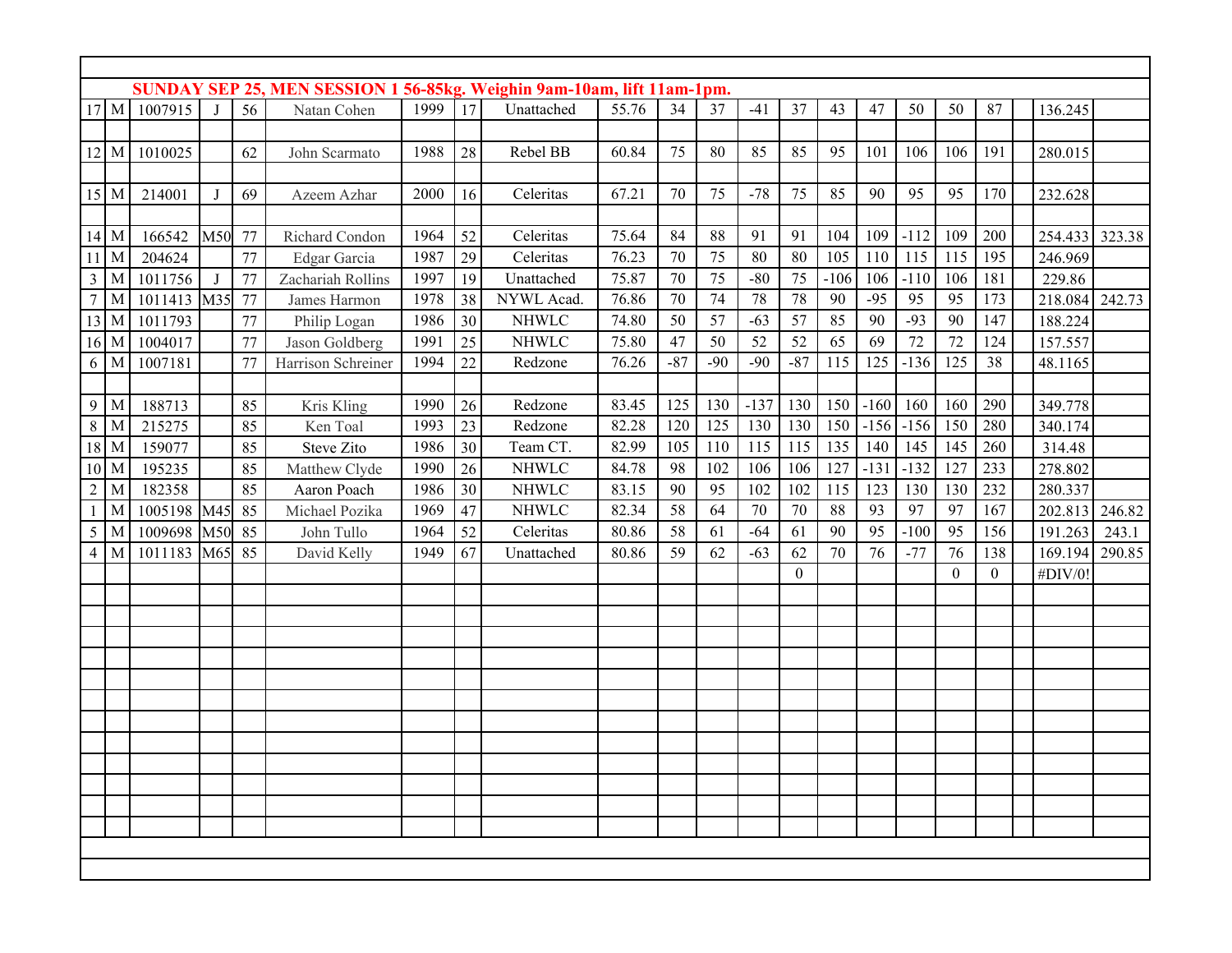| SUNDAY SEP 25, MEN SESSION 1 56-85kg. Weighin 9am-10am, lift 11am-1pm. |   |             |     |    |                    |      |    |              |       |       |       |        |                |        |        |        |                |                |         |        |
|------------------------------------------------------------------------|---|-------------|-----|----|--------------------|------|----|--------------|-------|-------|-------|--------|----------------|--------|--------|--------|----------------|----------------|---------|--------|
| $17 \mathrm{M}$                                                        |   | 1007915     |     | 56 | Natan Cohen        | 1999 | 17 | Unattached   | 55.76 | 34    | 37    | $-41$  | 37             | 43     | 47     | 50     | 50             | 87             | 136.245 |        |
|                                                                        |   |             |     |    |                    |      |    |              |       |       |       |        |                |        |        |        |                |                |         |        |
| $12 \, M$                                                              |   | 1010025     |     | 62 | John Scarmato      | 1988 | 28 | Rebel BB     | 60.84 | 75    | 80    | 85     | 85             | 95     | 101    | 106    | 106            | 191            | 280.015 |        |
|                                                                        |   |             |     |    |                    |      |    |              |       |       |       |        |                |        |        |        |                |                |         |        |
| $15$ M                                                                 |   | 214001      | J   | 69 | Azeem Azhar        | 2000 | 16 | Celeritas    | 67.21 | 70    | 75    | $-78$  | 75             | 85     | 90     | 95     | 95             | 170            | 232.628 |        |
|                                                                        |   |             |     |    |                    |      |    |              |       |       |       |        |                |        |        |        |                |                |         |        |
| 14 M                                                                   |   | 166542      | M50 | 77 | Richard Condon     | 1964 | 52 | Celeritas    | 75.64 | 84    | 88    | 91     | 91             | 104    | 109    | $-112$ | 109            | 200            | 254.433 | 323.38 |
|                                                                        | M | 204624      |     | 77 | Edgar Garcia       | 1987 | 29 | Celeritas    | 76.23 | 70    | 75    | 80     | $80\,$         | 105    | 110    | 115    | 115            | 195            | 246.969 |        |
| 3                                                                      | M | 1011756     | J   | 77 | Zachariah Rollins  | 1997 | 19 | Unattached   | 75.87 | 70    | 75    | $-80$  | 75             | $-106$ | 106    | $-110$ | 106            | 181            | 229.86  |        |
| 7                                                                      | M | 1011413     | M35 | 77 | James Harmon       | 1978 | 38 | NYWL Acad.   | 76.86 | 70    | 74    | 78     | 78             | 90     | $-95$  | 95     | 95             | 173            | 218.084 | 242.73 |
| 13                                                                     | M | 1011793     |     | 77 | Philip Logan       | 1986 | 30 | <b>NHWLC</b> | 74.80 | 50    | 57    | $-63$  | 57             | 85     | 90     | $-93$  | 90             | 147            | 188.224 |        |
| $16$ M                                                                 |   | 1004017     |     | 77 | Jason Goldberg     | 1991 | 25 | <b>NHWLC</b> | 75.80 | 47    | 50    | 52     | 52             | 65     | 69     | 72     | 72             | 124            | 157.557 |        |
| 6                                                                      | M | 1007181     |     | 77 | Harrison Schreiner | 1994 | 22 | Redzone      | 76.26 | $-87$ | $-90$ | $-90$  | $-87$          | 115    | 125    | $-136$ | 125            | 38             | 48.1165 |        |
|                                                                        |   |             |     |    |                    |      |    |              |       |       |       |        |                |        |        |        |                |                |         |        |
| 9                                                                      | M | 188713      |     | 85 | Kris Kling         | 1990 | 26 | Redzone      | 83.45 | 125   | 130   | $-137$ | 130            | 150    | $-160$ | 160    | 160            | 290            | 349.778 |        |
| 8                                                                      | M | 215275      |     | 85 | Ken Toal           | 1993 | 23 | Redzone      | 82.28 | 120   | 125   | 130    | 130            | 150    | $-156$ | $-156$ | 150            | 280            | 340.174 |        |
| $18$ M                                                                 |   | 159077      |     | 85 | <b>Steve Zito</b>  | 1986 | 30 | Team CT.     | 82.99 | 105   | 110   | 115    | 115            | 135    | 140    | 145    | 145            | 260            | 314.48  |        |
| $10$ M                                                                 |   | 195235      |     | 85 | Matthew Clyde      | 1990 | 26 | <b>NHWLC</b> | 84.78 | 98    | 102   | 106    | 106            | 127    | $-131$ | $-132$ | 127            | 233            | 278.802 |        |
| $\overline{2}$                                                         | M | 182358      |     | 85 | Aaron Poach        | 1986 | 30 | <b>NHWLC</b> | 83.15 | 90    | 95    | 102    | 102            | 115    | 123    | 130    | 130            | 232            | 280.337 |        |
|                                                                        | M | 1005198     | M45 | 85 | Michael Pozika     | 1969 | 47 | <b>NHWLC</b> | 82.34 | 58    | 64    | 70     | 70             | 88     | 93     | 97     | 97             | 167            | 202.813 | 246.82 |
| 5                                                                      | M | 1009698     | M50 | 85 | John Tullo         | 1964 | 52 | Celeritas    | 80.86 | 58    | 61    | $-64$  | 61             | 90     | 95     | $-100$ | 95             | 156            | 191.263 | 243.1  |
| $\overline{4}$                                                         | M | 1011183 M65 |     | 85 | David Kelly        | 1949 | 67 | Unattached   | 80.86 | 59    | 62    | $-63$  | 62             | 70     | 76     | $-77$  | 76             | 138            | 169.194 | 290.85 |
|                                                                        |   |             |     |    |                    |      |    |              |       |       |       |        | $\overline{0}$ |        |        |        | $\overline{0}$ | $\overline{0}$ | #DIV/0! |        |
|                                                                        |   |             |     |    |                    |      |    |              |       |       |       |        |                |        |        |        |                |                |         |        |
|                                                                        |   |             |     |    |                    |      |    |              |       |       |       |        |                |        |        |        |                |                |         |        |
|                                                                        |   |             |     |    |                    |      |    |              |       |       |       |        |                |        |        |        |                |                |         |        |
|                                                                        |   |             |     |    |                    |      |    |              |       |       |       |        |                |        |        |        |                |                |         |        |
|                                                                        |   |             |     |    |                    |      |    |              |       |       |       |        |                |        |        |        |                |                |         |        |
|                                                                        |   |             |     |    |                    |      |    |              |       |       |       |        |                |        |        |        |                |                |         |        |
|                                                                        |   |             |     |    |                    |      |    |              |       |       |       |        |                |        |        |        |                |                |         |        |
|                                                                        |   |             |     |    |                    |      |    |              |       |       |       |        |                |        |        |        |                |                |         |        |
|                                                                        |   |             |     |    |                    |      |    |              |       |       |       |        |                |        |        |        |                |                |         |        |
|                                                                        |   |             |     |    |                    |      |    |              |       |       |       |        |                |        |        |        |                |                |         |        |
|                                                                        |   |             |     |    |                    |      |    |              |       |       |       |        |                |        |        |        |                |                |         |        |
|                                                                        |   |             |     |    |                    |      |    |              |       |       |       |        |                |        |        |        |                |                |         |        |
|                                                                        |   |             |     |    |                    |      |    |              |       |       |       |        |                |        |        |        |                |                |         |        |
|                                                                        |   |             |     |    |                    |      |    |              |       |       |       |        |                |        |        |        |                |                |         |        |